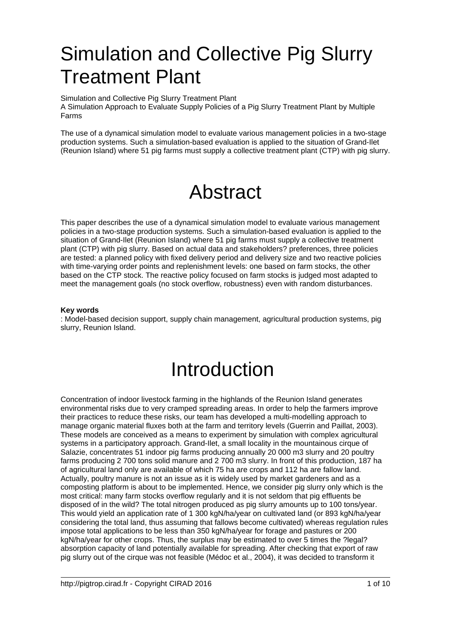# Simulation and Collective Pig Slurry Treatment Plant

Simulation and Collective Pig Slurry Treatment Plant A Simulation Approach to Evaluate Supply Policies of a Pig Slurry Treatment Plant by Multiple Farms

The use of a dynamical simulation model to evaluate various management policies in a two-stage production systems. Such a simulation-based evaluation is applied to the situation of Grand-Ilet (Reunion Island) where 51 pig farms must supply a collective treatment plant (CTP) with pig slurry.

## Abstract

This paper describes the use of a dynamical simulation model to evaluate various management policies in a two-stage production systems. Such a simulation-based evaluation is applied to the situation of Grand-Ilet (Reunion Island) where 51 pig farms must supply a collective treatment plant (CTP) with pig slurry. Based on actual data and stakeholders? preferences, three policies are tested: a planned policy with fixed delivery period and delivery size and two reactive policies with time-varying order points and replenishment levels: one based on farm stocks, the other based on the CTP stock. The reactive policy focused on farm stocks is judged most adapted to meet the management goals (no stock overflow, robustness) even with random disturbances.

#### **Key words**

: Model-based decision support, supply chain management, agricultural production systems, pig slurry, Reunion Island.

## Introduction

Concentration of indoor livestock farming in the highlands of the Reunion Island generates environmental risks due to very cramped spreading areas. In order to help the farmers improve their practices to reduce these risks, our team has developed a multi-modelling approach to manage organic material fluxes both at the farm and territory levels (Guerrin and Paillat, 2003). These models are conceived as a means to experiment by simulation with complex agricultural systems in a participatory approach. Grand-Ilet, a small locality in the mountainous cirque of Salazie, concentrates 51 indoor pig farms producing annually 20 000 m3 slurry and 20 poultry farms producing 2 700 tons solid manure and 2 700 m3 slurry. In front of this production, 187 ha of agricultural land only are available of which 75 ha are crops and 112 ha are fallow land. Actually, poultry manure is not an issue as it is widely used by market gardeners and as a composting platform is about to be implemented. Hence, we consider pig slurry only which is the most critical: many farm stocks overflow regularly and it is not seldom that pig effluents be disposed of in the wild? The total nitrogen produced as pig slurry amounts up to 100 tons/year. This would yield an application rate of 1 300 kgN/ha/year on cultivated land (or 893 kgN/ha/year considering the total land, thus assuming that fallows become cultivated) whereas regulation rules impose total applications to be less than 350 kgN/ha/year for forage and pastures or 200 kgN/ha/year for other crops. Thus, the surplus may be estimated to over 5 times the ?legal? absorption capacity of land potentially available for spreading. After checking that export of raw pig slurry out of the cirque was not feasible (Médoc et al., 2004), it was decided to transform it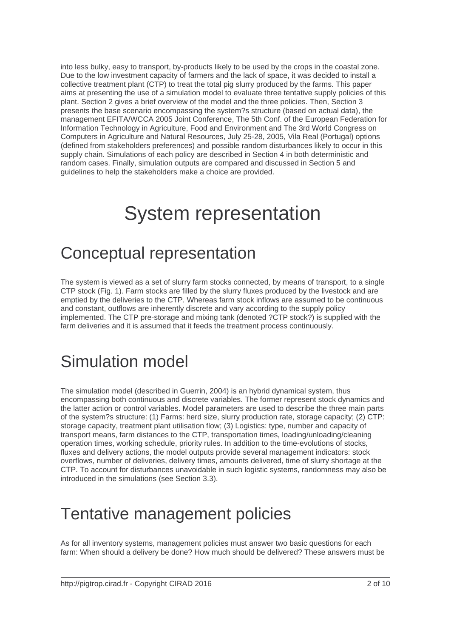into less bulky, easy to transport, by-products likely to be used by the crops in the coastal zone. Due to the low investment capacity of farmers and the lack of space, it was decided to install a collective treatment plant (CTP) to treat the total pig slurry produced by the farms. This paper aims at presenting the use of a simulation model to evaluate three tentative supply policies of this plant. Section 2 gives a brief overview of the model and the three policies. Then, Section 3 presents the base scenario encompassing the system?s structure (based on actual data), the management EFITA/WCCA 2005 Joint Conference, The 5th Conf. of the European Federation for Information Technology in Agriculture, Food and Environment and The 3rd World Congress on Computers in Agriculture and Natural Resources, July 25-28, 2005, Vila Real (Portugal) options (defined from stakeholders preferences) and possible random disturbances likely to occur in this supply chain. Simulations of each policy are described in Section 4 in both deterministic and random cases. Finally, simulation outputs are compared and discussed in Section 5 and guidelines to help the stakeholders make a choice are provided.

## System representation

### Conceptual representation

The system is viewed as a set of slurry farm stocks connected, by means of transport, to a single CTP stock (Fig. 1). Farm stocks are filled by the slurry fluxes produced by the livestock and are emptied by the deliveries to the CTP. Whereas farm stock inflows are assumed to be continuous and constant, outflows are inherently discrete and vary according to the supply policy implemented. The CTP pre-storage and mixing tank (denoted ?CTP stock?) is supplied with the farm deliveries and it is assumed that it feeds the treatment process continuously.

#### Simulation model

The simulation model (described in Guerrin, 2004) is an hybrid dynamical system, thus encompassing both continuous and discrete variables. The former represent stock dynamics and the latter action or control variables. Model parameters are used to describe the three main parts of the system?s structure: (1) Farms: herd size, slurry production rate, storage capacity; (2) CTP: storage capacity, treatment plant utilisation flow; (3) Logistics: type, number and capacity of transport means, farm distances to the CTP, transportation times, loading/unloading/cleaning operation times, working schedule, priority rules. In addition to the time-evolutions of stocks, fluxes and delivery actions, the model outputs provide several management indicators: stock overflows, number of deliveries, delivery times, amounts delivered, time of slurry shortage at the CTP. To account for disturbances unavoidable in such logistic systems, randomness may also be introduced in the simulations (see Section 3.3).

#### Tentative management policies

As for all inventory systems, management policies must answer two basic questions for each farm: When should a delivery be done? How much should be delivered? These answers must be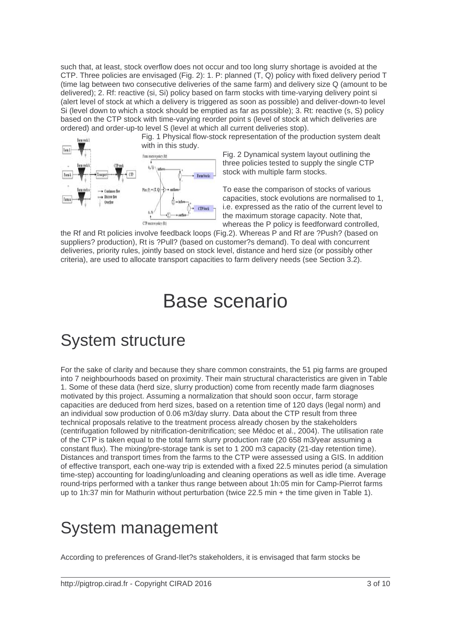such that, at least, stock overflow does not occur and too long slurry shortage is avoided at the CTP. Three policies are envisaged (Fig. 2): 1. P: planned (T, Q) policy with fixed delivery period T (time lag between two consecutive deliveries of the same farm) and delivery size Q (amount to be delivered); 2. Rf: reactive (si, Si) policy based on farm stocks with time-varying delivery point si (alert level of stock at which a delivery is triggered as soon as possible) and deliver-down-to level Si (level down to which a stock should be emptied as far as possible); 3. Rt: reactive (s, S) policy based on the CTP stock with time-varying reorder point s (level of stock at which deliveries are ordered) and order-up-to level S (level at which all current deliveries stop).

Fig. 1 Physical flow-stock representation of the production system dealt with in this study. Tun1 Fann reactive orders (RF)  $(s, s)$ **Turn I** · Farm Stocks  $Pin(P) * (T, 0)$ CTP resource as dem (R)

Fig. 2 Dynamical system layout outlining the

three policies tested to supply the single CTP stock with multiple farm stocks.

To ease the comparison of stocks of various capacities, stock evolutions are normalised to 1, i.e. expressed as the ratio of the current level to the maximum storage capacity. Note that, whereas the P policy is feedforward controlled,

the Rf and Rt policies involve feedback loops (Fig.2). Whereas P and Rf are ?Push? (based on suppliers? production), Rt is ?Pull? (based on customer?s demand). To deal with concurrent deliveries, priority rules, jointly based on stock level, distance and herd size (or possibly other criteria), are used to allocate transport capacities to farm delivery needs (see Section 3.2).

## Base scenario

#### System structure

For the sake of clarity and because they share common constraints, the 51 pig farms are grouped into 7 neighbourhoods based on proximity. Their main structural characteristics are given in Table 1. Some of these data (herd size, slurry production) come from recently made farm diagnoses motivated by this project. Assuming a normalization that should soon occur, farm storage capacities are deduced from herd sizes, based on a retention time of 120 days (legal norm) and an individual sow production of 0.06 m3/day slurry. Data about the CTP result from three technical proposals relative to the treatment process already chosen by the stakeholders (centrifugation followed by nitrification-denitrification; see Médoc et al., 2004). The utilisation rate of the CTP is taken equal to the total farm slurry production rate (20 658 m3/year assuming a constant flux). The mixing/pre-storage tank is set to 1 200 m3 capacity (21-day retention time). Distances and transport times from the farms to the CTP were assessed using a GIS. In addition of effective transport, each one-way trip is extended with a fixed 22.5 minutes period (a simulation time-step) accounting for loading/unloading and cleaning operations as well as idle time. Average round-trips performed with a tanker thus range between about 1h:05 min for Camp-Pierrot farms up to 1h:37 min for Mathurin without perturbation (twice 22.5 min + the time given in Table 1).

#### System management

According to preferences of Grand-Ilet?s stakeholders, it is envisaged that farm stocks be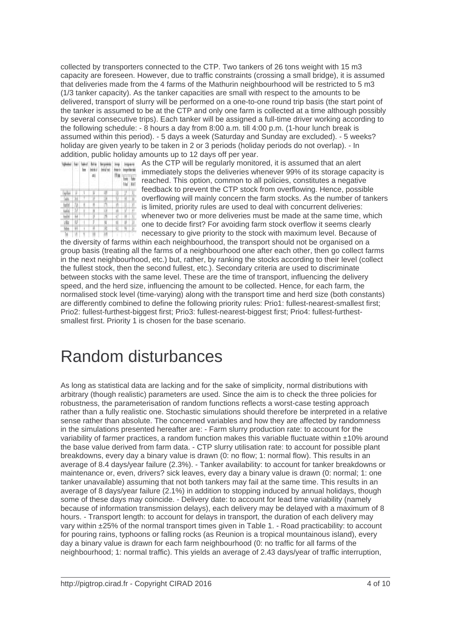collected by transporters connected to the CTP. Two tankers of 26 tons weight with 15 m3 capacity are foreseen. However, due to traffic constraints (crossing a small bridge), it is assumed that deliveries made from the 4 farms of the Mathurin neighbourhood will be restricted to 5 m3 (1/3 tanker capacity). As the tanker capacities are small with respect to the amounts to be delivered, transport of slurry will be performed on a one-to-one round trip basis (the start point of the tanker is assumed to be at the CTP and only one farm is collected at a time although possibly by several consecutive trips). Each tanker will be assigned a full-time driver working according to the following schedule: - 8 hours a day from 8:00 a.m. till 4:00 p.m. (1-hour lunch break is assumed within this period). - 5 days a week (Saturday and Sunday are excluded). - 5 weeks? holiday are given yearly to be taken in 2 or 3 periods (holiday periods do not overlap). - In addition, public holiday amounts up to 12 days off per year.

| M. |   |   |   |  |  |
|----|---|---|---|--|--|
|    |   |   |   |  |  |
|    |   |   |   |  |  |
|    |   |   |   |  |  |
|    |   |   | I |  |  |
|    |   |   |   |  |  |
|    |   |   |   |  |  |
|    |   | i | H |  |  |
| ш  | I |   | П |  |  |
|    |   |   |   |  |  |

As the CTP will be regularly monitored, it is assumed that an alert immediately stops the deliveries whenever 99% of its storage capacity is reached. This option, common to all policies, constitutes a negative feedback to prevent the CTP stock from overflowing. Hence, possible overflowing will mainly concern the farm stocks. As the number of tankers is limited, priority rules are used to deal with concurrent deliveries: whenever two or more deliveries must be made at the same time, which one to decide first? For avoiding farm stock overflow it seems clearly necessary to give priority to the stock with maximum level. Because of

the diversity of farms within each neighbourhood, the transport should not be organised on a group basis (treating all the farms of a neighbourhood one after each other, then go collect farms in the next neighbourhood, etc.) but, rather, by ranking the stocks according to their level (collect the fullest stock, then the second fullest, etc.). Secondary criteria are used to discriminate between stocks with the same level. These are the time of transport, influencing the delivery speed, and the herd size, influencing the amount to be collected. Hence, for each farm, the normalised stock level (time-varying) along with the transport time and herd size (both constants) are differently combined to define the following priority rules: Prio1: fullest-nearest-smallest first; Prio2: fullest-furthest-biggest first; Prio3: fullest-nearest-biggest first; Prio4: fullest-furthestsmallest first. Priority 1 is chosen for the base scenario.

#### Random disturbances

As long as statistical data are lacking and for the sake of simplicity, normal distributions with arbitrary (though realistic) parameters are used. Since the aim is to check the three policies for robustness, the parameterisation of random functions reflects a worst-case testing approach rather than a fully realistic one. Stochastic simulations should therefore be interpreted in a relative sense rather than absolute. The concerned variables and how they are affected by randomness in the simulations presented hereafter are: - Farm slurry production rate: to account for the variability of farmer practices, a random function makes this variable fluctuate within ±10% around the base value derived from farm data. - CTP slurry utilisation rate: to account for possible plant breakdowns, every day a binary value is drawn (0: no flow; 1: normal flow). This results in an average of 8.4 days/year failure (2.3%). - Tanker availability: to account for tanker breakdowns or maintenance or, even, drivers? sick leaves, every day a binary value is drawn (0: normal; 1: one tanker unavailable) assuming that not both tankers may fail at the same time. This results in an average of 8 days/year failure (2.1%) in addition to stopping induced by annual holidays, though some of these days may coincide. - Delivery date: to account for lead time variability (namely because of information transmission delays), each delivery may be delayed with a maximum of 8 hours. - Transport length: to account for delays in transport, the duration of each delivery may vary within ±25% of the normal transport times given in Table 1. - Road practicability: to account for pouring rains, typhoons or falling rocks (as Reunion is a tropical mountainous island), every day a binary value is drawn for each farm neighbourhood (0: no traffic for all farms of the neighbourhood; 1: normal traffic). This yields an average of 2.43 days/year of traffic interruption,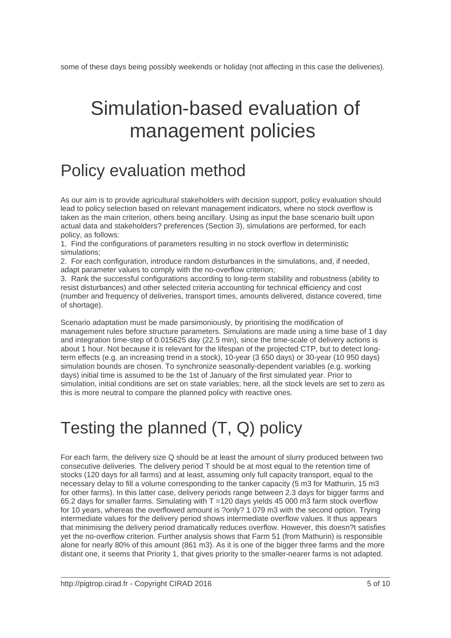# Simulation-based evaluation of management policies

### Policy evaluation method

As our aim is to provide agricultural stakeholders with decision support, policy evaluation should lead to policy selection based on relevant management indicators, where no stock overflow is taken as the main criterion, others being ancillary. Using as input the base scenario built upon actual data and stakeholders? preferences (Section 3), simulations are performed, for each policy, as follows:

1. Find the configurations of parameters resulting in no stock overflow in deterministic simulations;

2. For each configuration, introduce random disturbances in the simulations, and, if needed, adapt parameter values to comply with the no-overflow criterion;

3. Rank the successful configurations according to long-term stability and robustness (ability to resist disturbances) and other selected criteria accounting for technical efficiency and cost (number and frequency of deliveries, transport times, amounts delivered, distance covered, time of shortage).

Scenario adaptation must be made parsimoniously, by prioritising the modification of management rules before structure parameters. Simulations are made using a time base of 1 day and integration time-step of 0.015625 day (22.5 min), since the time-scale of delivery actions is about 1 hour. Not because it is relevant for the lifespan of the projected CTP, but to detect longterm effects (e.g. an increasing trend in a stock), 10-year (3 650 days) or 30-year (10 950 days) simulation bounds are chosen. To synchronize seasonally-dependent variables (e.g. working days) initial time is assumed to be the 1st of January of the first simulated year. Prior to simulation, initial conditions are set on state variables; here, all the stock levels are set to zero as this is more neutral to compare the planned policy with reactive ones.

## Testing the planned (T, Q) policy

For each farm, the delivery size Q should be at least the amount of slurry produced between two consecutive deliveries. The delivery period T should be at most equal to the retention time of stocks (120 days for all farms) and at least, assuming only full capacity transport, equal to the necessary delay to fill a volume corresponding to the tanker capacity (5 m3 for Mathurin, 15 m3 for other farms). In this latter case, delivery periods range between 2.3 days for bigger farms and 65.2 days for smaller farms. Simulating with  $T = 120$  days yields 45 000 m3 farm stock overflow for 10 years, whereas the overflowed amount is ?only? 1 079 m3 with the second option. Trying intermediate values for the delivery period shows intermediate overflow values. It thus appears that minimising the delivery period dramatically reduces overflow. However, this doesn?t satisfies yet the no-overflow criterion. Further analysis shows that Farm 51 (from Mathurin) is responsible alone for nearly 80% of this amount (861 m3). As it is one of the bigger three farms and the more distant one, it seems that Priority 1, that gives priority to the smaller-nearer farms is not adapted.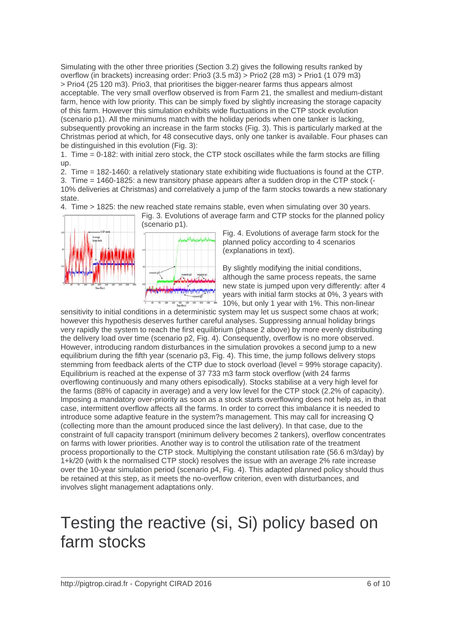Simulating with the other three priorities (Section 3.2) gives the following results ranked by overflow (in brackets) increasing order: Prio3 (3.5 m3) > Prio2 (28 m3) > Prio1 (1 079 m3) > Prio4 (25 120 m3). Prio3, that prioritises the bigger-nearer farms thus appears almost acceptable. The very small overflow observed is from Farm 21, the smallest and medium-distant farm, hence with low priority. This can be simply fixed by slightly increasing the storage capacity of this farm. However this simulation exhibits wide fluctuations in the CTP stock evolution (scenario p1). All the minimums match with the holiday periods when one tanker is lacking, subsequently provoking an increase in the farm stocks (Fig. 3). This is particularly marked at the Christmas period at which, for 48 consecutive days, only one tanker is available. Four phases can be distinguished in this evolution (Fig. 3):

1. Time = 0-182: with initial zero stock, the CTP stock oscillates while the farm stocks are filling up.

2. Time = 182-1460: a relatively stationary state exhibiting wide fluctuations is found at the CTP.

3. Time = 1460-1825: a new transitory phase appears after a sudden drop in the CTP stock (- 10% deliveries at Christmas) and correlatively a jump of the farm stocks towards a new stationary state.

4. Time > 1825: the new reached state remains stable, even when simulating over 30 years.



Fig. 3. Evolutions of average farm and CTP stocks for the planned policy

Fig. 4. Evolutions of average farm stock for the planned policy according to 4 scenarios (explanations in text).

By slightly modifying the initial conditions, although the same process repeats, the same new state is jumped upon very differently: after 4 years with initial farm stocks at 0%, 3 years with 10%, but only 1 year with 1%. This non-linear

sensitivity to initial conditions in a deterministic system may let us suspect some chaos at work; however this hypothesis deserves further careful analyses. Suppressing annual holiday brings very rapidly the system to reach the first equilibrium (phase 2 above) by more evenly distributing the delivery load over time (scenario p2, Fig. 4). Consequently, overflow is no more observed. However, introducing random disturbances in the simulation provokes a second jump to a new equilibrium during the fifth year (scenario p3, Fig. 4). This time, the jump follows delivery stops stemming from feedback alerts of the CTP due to stock overload (level = 99% storage capacity). Equilibrium is reached at the expense of 37 733 m3 farm stock overflow (with 24 farms overflowing continuously and many others episodically). Stocks stabilise at a very high level for the farms (88% of capacity in average) and a very low level for the CTP stock (2.2% of capacity). Imposing a mandatory over-priority as soon as a stock starts overflowing does not help as, in that case, intermittent overflow affects all the farms. In order to correct this imbalance it is needed to introduce some adaptive feature in the system?s management. This may call for increasing Q (collecting more than the amount produced since the last delivery). In that case, due to the constraint of full capacity transport (minimum delivery becomes 2 tankers), overflow concentrates on farms with lower priorities. Another way is to control the utilisation rate of the treatment process proportionally to the CTP stock. Multiplying the constant utilisation rate (56.6 m3/day) by 1+k/20 (with k the normalised CTP stock) resolves the issue with an average 2% rate increase over the 10-year simulation period (scenario p4, Fig. 4). This adapted planned policy should thus be retained at this step, as it meets the no-overflow criterion, even with disturbances, and involves slight management adaptations only.

### Testing the reactive (si, Si) policy based on farm stocks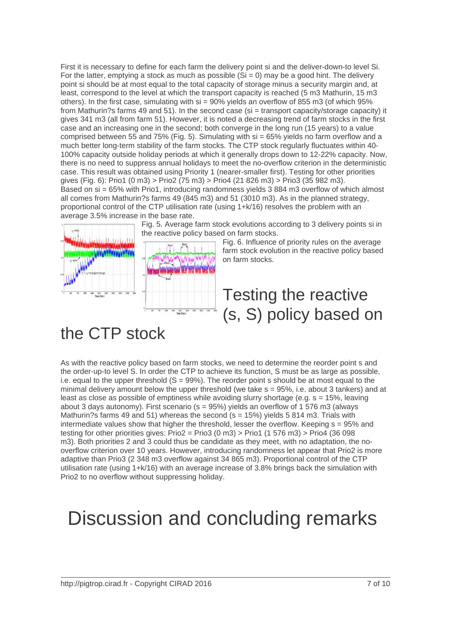First it is necessary to define for each farm the delivery point si and the deliver-down-to level Si. For the latter, emptying a stock as much as possible  $(Si = 0)$  may be a good hint. The delivery point si should be at most equal to the total capacity of storage minus a security margin and, at least, correspond to the level at which the transport capacity is reached (5 m3 Mathurin, 15 m3 others). In the first case, simulating with  $\sin$  = 90% yields an overflow of 855 m3 (of which 95% from Mathurin?s farms 49 and 51). In the second case (si = transport capacity/storage capacity) it gives 341 m3 (all from farm 51). However, it is noted a decreasing trend of farm stocks in the first case and an increasing one in the second; both converge in the long run (15 years) to a value comprised between 55 and 75% (Fig. 5). Simulating with si = 65% yields no farm overflow and a much better long-term stability of the farm stocks. The CTP stock regularly fluctuates within 40- 100% capacity outside holiday periods at which it generally drops down to 12-22% capacity. Now, there is no need to suppress annual holidays to meet the no-overflow criterion in the deterministic case. This result was obtained using Priority 1 (nearer-smaller first). Testing for other priorities gives (Fig. 6): Prio1 (0 m3) > Prio2 (75 m3) > Prio4 (21 826 m3) > Prio3 (35 982 m3). Based on si = 65% with Prio1, introducing randomness yields 3 884 m3 overflow of which almost all comes from Mathurin?s farms 49 (845 m3) and 51 (3010 m3). As in the planned strategy, proportional control of the CTP utilisation rate (using 1+k/16) resolves the problem with an average 3.5% increase in the base rate.



Fig. 5. Average farm stock evolutions according to 3 delivery points si in the reactive policy based on farm stocks.

Fig. 6. Influence of priority rules on the average farm stock evolution in the reactive policy based on farm stocks.

#### Testing the reactive (s, S) policy based on

#### the CTP stock

As with the reactive policy based on farm stocks, we need to determine the reorder point s and the order-up-to level S. In order the CTP to achieve its function, S must be as large as possible, i.e. equal to the upper threshold  $(S = 99\%)$ . The reorder point s should be at most equal to the minimal delivery amount below the upper threshold (we take s = 95%, i.e. about 3 tankers) and at least as close as possible of emptiness while avoiding slurry shortage (e.g. s = 15%, leaving about 3 days autonomy). First scenario (s = 95%) yields an overflow of 1 576 m3 (always Mathurin?s farms 49 and 51) whereas the second ( $s = 15%$ ) yields 5 814 m3. Trials with intermediate values show that higher the threshold, lesser the overflow. Keeping  $s = 95\%$  and testing for other priorities gives:  $Prio2 = Prio3 (0 m3) > Prio1 (1 576 m3) > Prio4 (36 098$ m3). Both priorities 2 and 3 could thus be candidate as they meet, with no adaptation, the nooverflow criterion over 10 years. However, introducing randomness let appear that Prio2 is more adaptive than Prio3 (2 348 m3 overflow against 34 865 m3). Proportional control of the CTP utilisation rate (using 1+k/16) with an average increase of 3.8% brings back the simulation with Prio2 to no overflow without suppressing holiday.

## Discussion and concluding remarks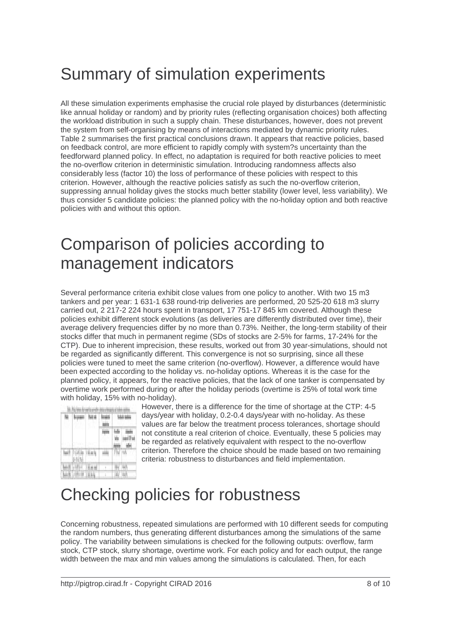#### Summary of simulation experiments

All these simulation experiments emphasise the crucial role played by disturbances (deterministic like annual holiday or random) and by priority rules (reflecting organisation choices) both affecting the workload distribution in such a supply chain. These disturbances, however, does not prevent the system from self-organising by means of interactions mediated by dynamic priority rules. Table 2 summarises the first practical conclusions drawn. It appears that reactive policies, based on feedback control, are more efficient to rapidly comply with system?s uncertainty than the feedforward planned policy. In effect, no adaptation is required for both reactive policies to meet the no-overflow criterion in deterministic simulation. Introducing randomness affects also considerably less (factor 10) the loss of performance of these policies with respect to this criterion. However, although the reactive policies satisfy as such the no-overflow criterion, suppressing annual holiday gives the stocks much better stability (lower level, less variability). We thus consider 5 candidate policies: the planned policy with the no-holiday option and both reactive policies with and without this option.

### Comparison of policies according to management indicators

Several performance criteria exhibit close values from one policy to another. With two 15 m3 tankers and per year: 1 631-1 638 round-trip deliveries are performed, 20 525-20 618 m3 slurry carried out, 2 217-2 224 hours spent in transport, 17 751-17 845 km covered. Although these policies exhibit different stock evolutions (as deliveries are differently distributed over time), their average delivery frequencies differ by no more than 0.73%. Neither, the long-term stability of their stocks differ that much in permanent regime (SDs of stocks are 2-5% for farms, 17-24% for the CTP). Due to inherent imprecision, these results, worked out from 30 year-simulations, should not be regarded as significantly different. This convergence is not so surprising, since all these policies were tuned to meet the same criterion (no-overflow). However, a difference would have been expected according to the holiday vs. no-holiday options. Whereas it is the case for the planned policy, it appears, for the reactive policies, that the lack of one tanker is compensated by overtime work performed during or after the holiday periods (overtime is 25% of total work time with holiday, 15% with no-holiday).

|   |       |  | W |  |  |
|---|-------|--|---|--|--|
|   | 1.111 |  |   |  |  |
|   |       |  |   |  |  |
| m |       |  |   |  |  |

However, there is a difference for the time of shortage at the CTP: 4-5 days/year with holiday, 0.2-0.4 days/year with no-holiday. As these values are far below the treatment process tolerances, shortage should not constitute a real criterion of choice. Eventually, these 5 policies may be regarded as relatively equivalent with respect to the no-overflow criterion. Therefore the choice should be made based on two remaining criteria: robustness to disturbances and field implementation.

## Checking policies for robustness

Concerning robustness, repeated simulations are performed with 10 different seeds for computing the random numbers, thus generating different disturbances among the simulations of the same policy. The variability between simulations is checked for the following outputs: overflow, farm stock, CTP stock, slurry shortage, overtime work. For each policy and for each output, the range width between the max and min values among the simulations is calculated. Then, for each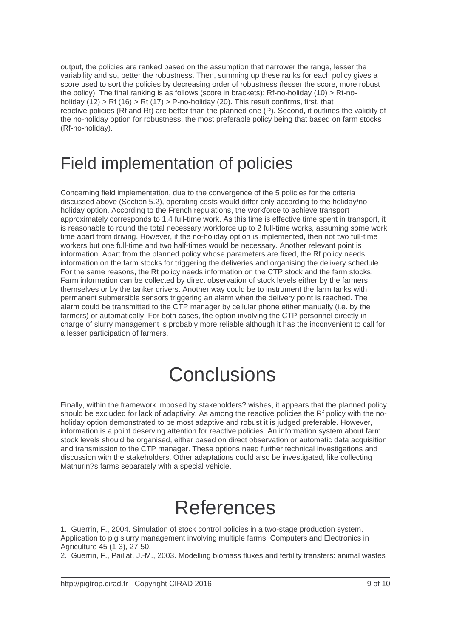output, the policies are ranked based on the assumption that narrower the range, lesser the variability and so, better the robustness. Then, summing up these ranks for each policy gives a score used to sort the policies by decreasing order of robustness (lesser the score, more robust the policy). The final ranking is as follows (score in brackets): Rf-no-holiday (10) > Rt-noholiday (12) > Rf (16) > Rt (17) > P-no-holiday (20). This result confirms, first, that reactive policies (Rf and Rt) are better than the planned one (P). Second, it outlines the validity of the no-holiday option for robustness, the most preferable policy being that based on farm stocks (Rf-no-holiday).

#### Field implementation of policies

Concerning field implementation, due to the convergence of the 5 policies for the criteria discussed above (Section 5.2), operating costs would differ only according to the holiday/noholiday option. According to the French regulations, the workforce to achieve transport approximately corresponds to 1.4 full-time work. As this time is effective time spent in transport, it is reasonable to round the total necessary workforce up to 2 full-time works, assuming some work time apart from driving. However, if the no-holiday option is implemented, then not two full-time workers but one full-time and two half-times would be necessary. Another relevant point is information. Apart from the planned policy whose parameters are fixed, the Rf policy needs information on the farm stocks for triggering the deliveries and organising the delivery schedule. For the same reasons, the Rt policy needs information on the CTP stock and the farm stocks. Farm information can be collected by direct observation of stock levels either by the farmers themselves or by the tanker drivers. Another way could be to instrument the farm tanks with permanent submersible sensors triggering an alarm when the delivery point is reached. The alarm could be transmitted to the CTP manager by cellular phone either manually (i.e. by the farmers) or automatically. For both cases, the option involving the CTP personnel directly in charge of slurry management is probably more reliable although it has the inconvenient to call for a lesser participation of farmers.

# **Conclusions**

Finally, within the framework imposed by stakeholders? wishes, it appears that the planned policy should be excluded for lack of adaptivity. As among the reactive policies the Rf policy with the noholiday option demonstrated to be most adaptive and robust it is judged preferable. However, information is a point deserving attention for reactive policies. An information system about farm stock levels should be organised, either based on direct observation or automatic data acquisition and transmission to the CTP manager. These options need further technical investigations and discussion with the stakeholders. Other adaptations could also be investigated, like collecting Mathurin?s farms separately with a special vehicle.

## **References**

1. Guerrin, F., 2004. Simulation of stock control policies in a two-stage production system. Application to pig slurry management involving multiple farms. Computers and Electronics in Agriculture 45 (1-3), 27-50.

2. Guerrin, F., Paillat, J.-M., 2003. Modelling biomass fluxes and fertility transfers: animal wastes